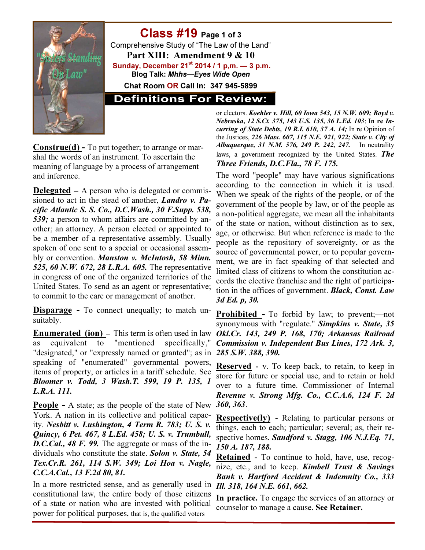

## Class #19 Page 1 of 3

Comprehensive Study of "The Law of the Land" Part XIII: Amendment 9 & 10 Sunday, December  $21^{st}$  2014 / 1 p,m.  $-3$  p.m. Blog Talk: Mhhs—Eyes Wide Open

Chat Room OR Call In: 347 945-5899

**Definitions For Review:** 

Construe(d) - To put together; to arrange or marshal the words of an instrument. To ascertain the meaning of language by a process of arrangement and inference.

**Delegated –** A person who is delegated or commissioned to act in the stead of another, *Landro v. Pa*cific Atlantic S. S. Co., D.C.Wash., 30 F.Supp. 538, 539; a person to whom affairs are committed by another; an attorney. A person elected or appointed to be a member of a representative assembly. Usually spoken of one sent to a special or occasional assembly or convention. Manston v. McIntosh, 58 Minn. 525, 60 N.W. 672, 28 L.R.A. 605. The representative in congress of one of the organized territories of the United States. To send as an agent or representative; to commit to the care or management of another.

**Disparage** - To connect unequally; to match unsuitably.

Enumerated (ion) – This term is often used in law Okl.Cr. 143, 249 P. 168, 170; Arkansas Railroad equivalent to "mentioned specifically," "designated," or "expressly named or granted"; as in 285 S.W. 388, 390. speaking of "enumerated" governmental powers, items of property, or articles in a tariff schedule. See Bloomer v. Todd, 3 Wash.T. 599, 19 P. 135, 1 L.R.A. 111.

People - A state; as the people of the state of New 360, 363. York. A nation in its collective and political capacity. Nesbitt v. Lushington, 4 Term R. 783; U. S. v. Quincy, 6 Pet. 467, 8 L.Ed. 458; U. S. v. Trumbull, D.C.Cal., 48 F. 99. The aggregate or mass of the individuals who constitute the state. Solon v. State, 54 Tex.Cr.R. 261, 114 S.W. 349; Loi Hoa v. Nagle, C.C.A.Cal., 13 F.2d 80, 81.

In a more restricted sense, and as generally used in constitutional law, the entire body of those citizens of a state or nation who are invested with political power for political purposes, that is, the qualified voters

or electors. Koehler v. Hill, 60 Iowa 543, 15 N.W. 609; Boyd v. Nebraska, 12 S.Ct. 375, 143 U.S. 135, 36 L.Ed. 103; In re Incurring of State Debts, 19 R.I. 610, 37 A. 14; In re Opinion of the Justices, 226 Mass. 607, 115 N.E. 921, 922; State v. City of Albuquerque, 31 N.M. 576, 249 P. 242, 247. In neutrality laws, a government recognized by the United States. The Three Friends, D.C.Fla., 78 F. 175.

The word "people" may have various significations according to the connection in which it is used. When we speak of the rights of the people, or of the government of the people by law, or of the people as a non-political aggregate, we mean all the inhabitants of the state or nation, without distinction as to sex, age, or otherwise. But when reference is made to the people as the repository of sovereignty, or as the source of governmental power, or to popular government, we are in fact speaking of that selected and limited class of citizens to whom the constitution accords the elective franchise and the right of participation in the offices of government. Black, Const. Law 3d Ed. p, 30.

Prohibited - To forbid by law; to prevent;—not synonymous with "regulate." Simpkins v. State, 35 Commission v. Independent Bus Lines, 172 Ark. 3,

Reserved - v. To keep back, to retain, to keep in store for future or special use, and to retain or hold over to a future time. Commissioner of Internal Revenue v. Strong Mfg. Co., C.C.A.6, 124 F. 2d

Respective(ly) - Relating to particular persons or things, each to each; particular; several; as, their respective homes. Sandford v. Stagg, 106 N.J.Eq. 71, 150 A. 187, 188.

Retained - To continue to hold, have, use, recognize, etc., and to keep. **Kimbell Trust & Savings** Bank v. Hartford Accident & Indemnity Co., 333 Ill. 318, 164 N.E. 661, 662.

In practice. To engage the services of an attorney or counselor to manage a cause. See Retainer.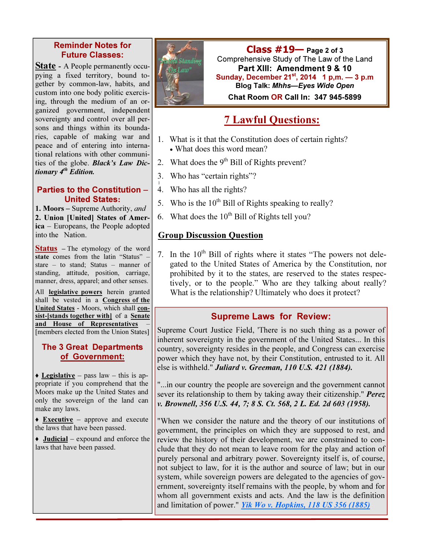#### Reminder Notes for Future Classes:

**State** - A People permanently occupying a fixed territory, bound together by common-law, habits, and custom into one body politic exercising, through the medium of an organized government, independent sovereignty and control over all persons and things within its boundaries, capable of making war and peace and of entering into international relations with other communities of the globe. Black's Law Dictionary 4<sup>th</sup> Edition.

#### Parties to the Constitution – United States:

1. Moors – Supreme Authority, and 2. Union [United] States of America – Europeans, the People adopted into the Nation.

Status – The etymology of the word state comes from the latin "Status" – stare – to stand; Status – manner of standing, attitude, position, carriage, manner, dress, apparel; and other senses.

All legislative powers herein granted shall be vested in a Congress of the United States - Moors, which shall consist-[stands together with] of a Senate and House of Representatives [members elected from the Union States]

#### The 3 Great Departments of Government:

 $\triangle$  Legislative – pass law – this is appropriate if you comprehend that the Moors make up the United States and only the sovereign of the land can make any laws.

 $\triangle$  **Executive** – approve and execute the laws that have been passed.

 $\rightarrow$  **Judicial** – expound and enforce the laws that have been passed.



 $Class #19$  Page 2 of 3 Comprehensive Study of The Law of the Land Part XIII: Amendment 9 & 10 Sunday, December  $21^{st}$ , 2014 1 p,m.  $-3$  p.m Blog Talk: Mhhs—Eyes Wide Open Chat Room OR Call In: 347 945-5899

# 7 Lawful Questions:

- 1. What is it that the Constitution does of certain rights? • What does this word mean?
- 2. What does the  $9<sup>th</sup>$  Bill of Rights prevent?
- 3. Who has "certain rights"?
- $\mathbf{I}$ 4. Who has all the rights?
- 5. Who is the  $10^{th}$  Bill of Rights speaking to really?
- 6. What does the  $10^{th}$  Bill of Rights tell you?

#### Group Discussion Question

7. In the  $10<sup>th</sup>$  Bill of rights where it states "The powers not delegated to the United States of America by the Constitution, nor prohibited by it to the states, are reserved to the states respectively, or to the people." Who are they talking about really? What is the relationship? Ultimately who does it protect?

#### Supreme Laws for Review:

Supreme Court Justice Field, 'There is no such thing as a power of inherent sovereignty in the government of the United States... In this country, sovereignty resides in the people, and Congress can exercise power which they have not, by their Constitution, entrusted to it. All else is withheld." Juliard v. Greeman, 110 U.S. 421 (1884).

"...in our country the people are sovereign and the government cannot sever its relationship to them by taking away their citizenship." Perez v. Brownell, 356 U.S. 44, 7; 8 S. Ct. 568, 2 L. Ed. 2d 603 (1958).

"When we consider the nature and the theory of our institutions of government, the principles on which they are supposed to rest, and review the history of their development, we are constrained to conclude that they do not mean to leave room for the play and action of purely personal and arbitrary power. Sovereignty itself is, of course, not subject to law, for it is the author and source of law; but in our system, while sovereign powers are delegated to the agencies of government, sovereignty itself remains with the people, by whom and for whom all government exists and acts. And the law is the definition and limitation of power." *Yik Wo v. Hopkins, 118 US 356 (1885)*